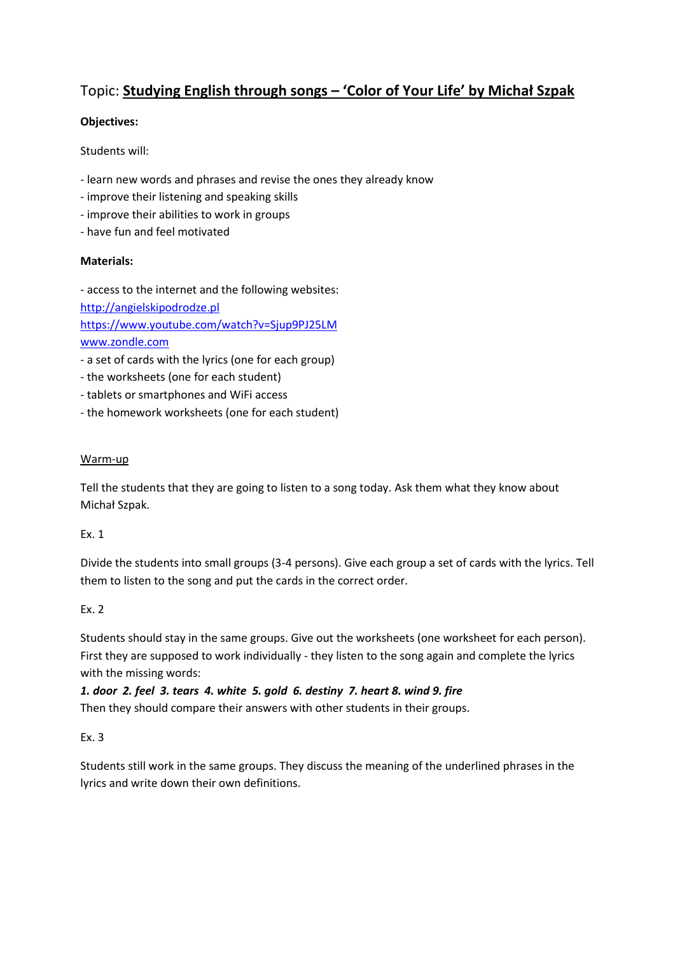# Topic: **Studying English through songs – 'Color of Your Life' by Michał Szpak**

## **Objectives:**

Students will:

- learn new words and phrases and revise the ones they already know
- improve their listening and speaking skills
- improve their abilities to work in groups
- have fun and feel motivated

### **Materials:**

- access to the internet and the following websites: [http://angielskipodrodze.pl](http://angielskipodrodze.pl/) <https://www.youtube.com/watch?v=Sjup9PJ25LM> [www.zondle.com](http://www.zondle.com/)

- a set of cards with the lyrics (one for each group)
- the worksheets (one for each student)
- tablets or smartphones and WiFi access
- the homework worksheets (one for each student)

### Warm-up

Tell the students that they are going to listen to a song today. Ask them what they know about Michał Szpak.

### Ex. 1

Divide the students into small groups (3-4 persons). Give each group a set of cards with the lyrics. Tell them to listen to the song and put the cards in the correct order.

### Ex. 2

Students should stay in the same groups. Give out the worksheets (one worksheet for each person). First they are supposed to work individually - they listen to the song again and complete the lyrics with the missing words:

*1. door 2. feel 3. tears 4. white 5. gold 6. destiny 7. heart 8. wind 9. fire* Then they should compare their answers with other students in their groups.

# Ex. 3

Students still work in the same groups. They discuss the meaning of the underlined phrases in the lyrics and write down their own definitions.